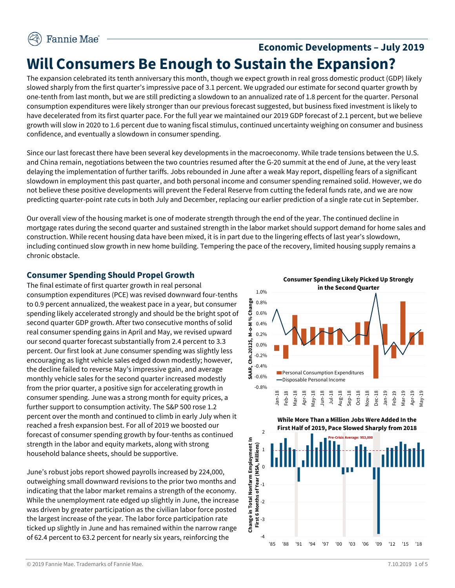# **Economic Developments – July 2019 Will Consumers Be Enough to Sustain the Expansion?**

The expansion celebrated its tenth anniversary this month, though we expect growth in real gross domestic product (GDP) likely slowed sharply from the first quarter's impressive pace of 3.1 percent. We upgraded our estimate for second quarter growth by one-tenth from last month, but we are still predicting a slowdown to an annualized rate of 1.8 percent for the quarter. Personal consumption expenditures were likely stronger than our previous forecast suggested, but business fixed investment is likely to have decelerated from its first quarter pace. For the full year we maintained our 2019 GDP forecast of 2.1 percent, but we believe growth will slow in 2020 to 1.6 percent due to waning fiscal stimulus, continued uncertainty weighing on consumer and business confidence, and eventually a slowdown in consumer spending.

Since our last forecast there have been several key developments in the macroeconomy. While trade tensions between the U.S. and China remain, negotiations between the two countries resumed after the G-20 summit at the end of June, at the very least delaying the implementation of further tariffs. Jobs rebounded in June after a weak May report, dispelling fears of a significant slowdown in employment this past quarter, and both personal income and consumer spending remained solid. However, we do not believe these positive developments will prevent the Federal Reserve from cutting the federal funds rate, and we are now predicting quarter-point rate cuts in both July and December, replacing our earlier prediction of a single rate cut in September.

Our overall view of the housing market is one of moderate strength through the end of the year. The continued decline in mortgage rates during the second quarter and sustained strength in the labor market should support demand for home sales and construction. While recent housing data have been mixed, it is in part due to the lingering effects of last year's slowdown, including continued slow growth in new home building. Tempering the pace of the recovery, limited housing supply remains a chronic obstacle.

### **Consumer Spending Should Propel Growth**

The final estimate of first quarter growth in real personal consumption expenditures (PCE) was revised downward four-tenths to 0.9 percent annualized, the weakest pace in a year, but consumer spending likely accelerated strongly and should be the bright spot of second quarter GDP growth. After two consecutive months of solid real consumer spending gains in April and May, we revised upward our second quarter forecast substantially from 2.4 percent to 3.3 percent. Our first look at June consumer spending was slightly less encouraging as light vehicle sales edged down modestly; however, the decline failed to reverse May's impressive gain, and average monthly vehicle sales for the second quarter increased modestly from the prior quarter, a positive sign for accelerating growth in consumer spending. June was a strong month for equity prices, a further support to consumption activity. The S&P 500 rose 1.2 percent over the month and continued to climb in early July when it reached a fresh expansion best. For all of 2019 we boosted our forecast of consumer spending growth by four-tenths as continued strength in the labor and equity markets, along with strong household balance sheets, should be supportive.

June's robust jobs report showed payrolls increased by 224,000, outweighing small downward revisions to the prior two months and indicating that the labor market remains a strength of the economy. While the unemployment rate edged up slightly in June, the increase was driven by greater participation as the civilian labor force posted the largest increase of the year. The labor force participation rate ticked up slightly in June and has remained within the narrow range of 62.4 percent to 63.2 percent for nearly six years, reinforcing the



**Consumer Spending Likely Picked Up Strongly**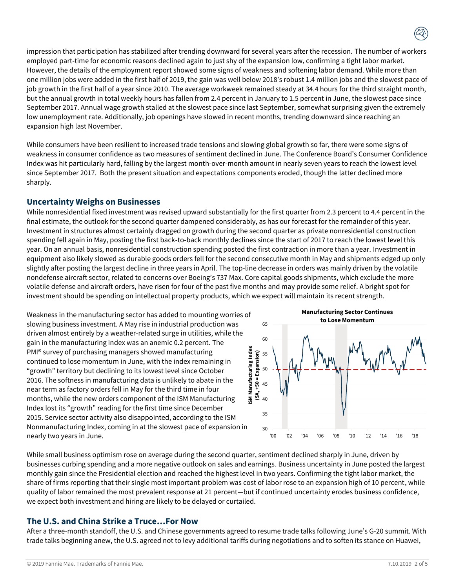impression that participation has stabilized after trending downward for several years after the recession. The number of workers employed part-time for economic reasons declined again to just shy of the expansion low, confirming a tight labor market. However, the details of the employment report showed some signs of weakness and softening labor demand. While more than one million jobs were added in the first half of 2019, the gain was well below 2018's robust 1.4 million jobs and the slowest pace of job growth in the first half of a year since 2010. The average workweek remained steady at 34.4 hours for the third straight month, but the annual growth in total weekly hours has fallen from 2.4 percent in January to 1.5 percent in June, the slowest pace since September 2017. Annual wage growth stalled at the slowest pace since last September, somewhat surprising given the extremely low unemployment rate. Additionally, job openings have slowed in recent months, trending downward since reaching an expansion high last November.

While consumers have been resilient to increased trade tensions and slowing global growth so far, there were some signs of weakness in consumer confidence as two measures of sentiment declined in June. The Conference Board's Consumer Confidence Index was hit particularly hard, falling by the largest month-over-month amount in nearly seven years to reach the lowest level since September 2017. Both the present situation and expectations components eroded, though the latter declined more sharply.

#### **Uncertainty Weighs on Businesses**

While nonresidential fixed investment was revised upward substantially for the first quarter from 2.3 percent to 4.4 percent in the final estimate, the outlook for the second quarter dampened considerably, as has our forecast for the remainder of this year. Investment in structures almost certainly dragged on growth during the second quarter as private nonresidential construction spending fell again in May, posting the first back-to-back monthly declines since the start of 2017 to reach the lowest level this year. On an annual basis, nonresidential construction spending posted the first contraction in more than a year. Investment in equipment also likely slowed as durable goods orders fell for the second consecutive month in May and shipments edged up only slightly after posting the largest decline in three years in April. The top-line decrease in orders was mainly driven by the volatile nondefense aircraft sector, related to concerns over Boeing's 737 Max. Core capital goods shipments, which exclude the more volatile defense and aircraft orders, have risen for four of the past five months and may provide some relief. A bright spot for investment should be spending on intellectual property products, which we expect will maintain its recent strength.

Weakness in the manufacturing sector has added to mounting worries of slowing business investment. A May rise in industrial production was driven almost entirely by a weather-related surge in utilities, while the gain in the manufacturing index was an anemic 0.2 percent. The PMI® survey of purchasing managers showed manufacturing continued to lose momentum in June, with the index remaining in "growth" territory but declining to its lowest level since October 2016. The softness in manufacturing data is unlikely to abate in the near term as factory orders fell in May for the third time in four months, while the new orders component of the ISM Manufacturing Index lost its "growth" reading for the first time since December 2015. Service sector activity also disappointed, according to the ISM Nonmanufacturing Index, coming in at the slowest pace of expansion in nearly two years in June.



While small business optimism rose on average during the second quarter, sentiment declined sharply in June, driven by businesses curbing spending and a more negative outlook on sales and earnings. Business uncertainty in June posted the largest monthly gain since the Presidential election and reached the highest level in two years. Confirming the tight labor market, the share of firms reporting that their single most important problem was cost of labor rose to an expansion high of 10 percent, while quality of labor remained the most prevalent response at 21 percent—but if continued uncertainty erodes business confidence, we expect both investment and hiring are likely to be delayed or curtailed.

### **The U.S. and China Strike a Truce…For Now**

After a three-month standoff, the U.S. and Chinese governments agreed to resume trade talks following June's G-20 summit. With trade talks beginning anew, the U.S. agreed not to levy additional tariffs during negotiations and to soften its stance on Huawei,

© 2019 Fannie Mae. Trademarks of Fannie Mae. 7.10.2019 2 of 5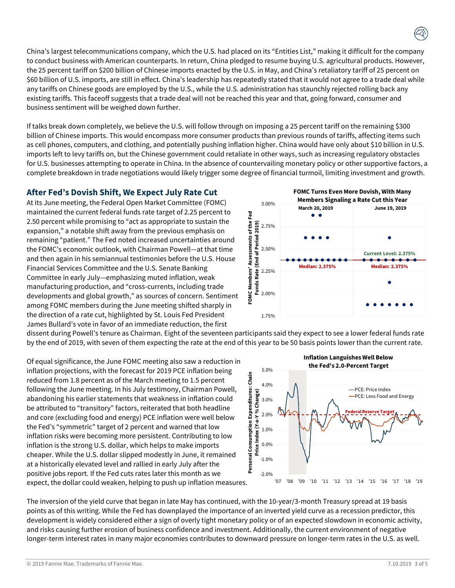China's largest telecommunications company, which the U.S. had placed on its "Entities List," making it difficult for the company to conduct business with American counterparts. In return, China pledged to resume buying U.S. agricultural products. However, the 25 percent tariff on \$200 billion of Chinese imports enacted by the U.S. in May, and China's retaliatory tariff of 25 percent on \$60 billion of U.S. imports, are still in effect. China's leadership has repeatedly stated that it would not agree to a trade deal while any tariffs on Chinese goods are employed by the U.S., while the U.S. administration has staunchly rejected rolling back any existing tariffs. This faceoff suggests that a trade deal will not be reached this year and that, going forward, consumer and business sentiment will be weighed down further.

If talks break down completely, we believe the U.S. will follow through on imposing a 25 percent tariff on the remaining \$300 billion of Chinese imports. This would encompass more consumer products than previous rounds of tariffs, affecting items such as cell phones, computers, and clothing, and potentially pushing inflation higher. China would have only about \$10 billion in U.S. imports left to levy tariffs on, but the Chinese government could retaliate in other ways, such as increasing regulatory obstacles for U.S. businesses attempting to operate in China. In the absence of countervailing monetary policy or other supportive factors, a complete breakdown in trade negotiations would likely trigger some degree of financial turmoil, limiting investment and growth.

### **After Fed's Dovish Shift, We Expect July Rate Cut**

At its June meeting, the Federal Open Market Committee (FOMC) maintained the current federal funds rate target of 2.25 percent to 2.50 percent while promising to "act as appropriate to sustain the expansion," a notable shift away from the previous emphasis on remaining "patient." The Fed noted increased uncertainties around the FOMC's economic outlook, with Chairman Powell—at that time and then again in his semiannual testimonies before the U.S. House Financial Services Committee and the U.S. Senate Banking Committee in early July—emphasizing muted inflation, weak manufacturing production, and "cross-currents, including trade developments and global growth," as sources of concern. Sentiment among FOMC members during the June meeting shifted sharply in the direction of a rate cut, highlighted by St. Louis Fed President James Bullard's vote in favor of an immediate reduction, the first



dissent during Powell's tenure as Chairman. Eight of the seventeen participants said they expect to see a lower federal funds rate by the end of 2019, with seven of them expecting the rate at the end of this year to be 50 basis points lower than the current rate.

Of equal significance, the June FOMC meeting also saw a reduction in inflation projections, with the forecast for 2019 PCE inflation being reduced from 1.8 percent as of the March meeting to 1.5 percent following the June meeting. In his July testimony, Chairman Powell, abandoning his earlier statements that weakness in inflation could be attributed to "transitory" factors, reiterated that both headline and core (excluding food and energy) PCE inflation were well below the Fed's "symmetric" target of 2 percent and warned that low inflation risks were becoming more persistent. Contributing to low inflation is the strong U.S. dollar, which helps to make imports cheaper. While the U.S. dollar slipped modestly in June, it remained at a historically elevated level and rallied in early July after the positive jobs report. If the Fed cuts rates later this month as we expect, the dollar could weaken, helping to push up inflation measures.



The inversion of the yield curve that began in late May has continued, with the 10-year/3-month Treasury spread at 19 basis points as of this writing. While the Fed has downplayed the importance of an inverted yield curve as a recession predictor, this development is widely considered either a sign of overly tight monetary policy or of an expected slowdown in economic activity, and risks causing further erosion of business confidence and investment. Additionally, the current environment of negative longer-term interest rates in many major economies contributes to downward pressure on longer-term rates in the U.S. as well.

© 2019 Fannie Mae. Trademarks of Fannie Mae. 7.10.2019 3 of 5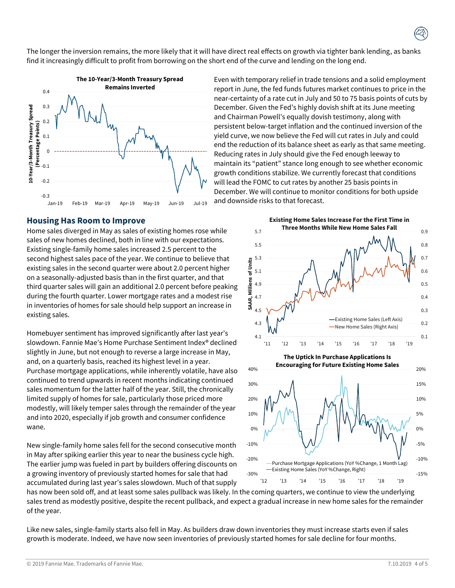The longer the inversion remains, the more likely that it will have direct real effects on growth via tighter bank lending, as banks find it increasingly difficult to profit from borrowing on the short end of the curve and lending on the long end.



#### **Housing Has Room to Improve**

Home sales diverged in May as sales of existing homes rose while sales of new homes declined, both in line with our expectations. Existing single-family home sales increased 2.5 percent to the second highest sales pace of the year. We continue to believe that existing sales in the second quarter were about 2.0 percent higher on a seasonally-adjusted basis than in the first quarter, and that third quarter sales will gain an additional 2.0 percent before peaking during the fourth quarter. Lower mortgage rates and a modest rise in inventories of homes for sale should help support an increase in existing sales.

Homebuyer sentiment has improved significantly after last year's slowdown. Fannie Mae's Home Purchase Sentiment Index® declined slightly in June, but not enough to reverse a large increase in May, and, on a quarterly basis, reached its highest level in a year. Purchase mortgage applications, while inherently volatile, have also continued to trend upwards in recent months indicating continued sales momentum for the latter half of the year. Still, the chronically limited supply of homes for sale, particularly those priced more modestly, will likely temper sales through the remainder of the year and into 2020, especially if job growth and consumer confidence wane.

New single-family home sales fell for the second consecutive month in May after spiking earlier this year to near the business cycle high. The earlier jump was fueled in part by builders offering discounts on a growing inventory of previously started homes for sale that had accumulated during last year's sales slowdown. Much of that supply

Even with temporary relief in trade tensions and a solid employment report in June, the fed funds futures market continues to price in the near-certainty of a rate cut in July and 50 to 75 basis points of cuts by December. Given the Fed's highly dovish shift at its June meeting and Chairman Powell's equally dovish testimony, along with persistent below-target inflation and the continued inversion of the yield curve, we now believe the Fed will cut rates in July and could end the reduction of its balance sheet as early as that same meeting. Reducing rates in July should give the Fed enough leeway to maintain its "patient" stance long enough to see whether economic growth conditions stabilize. We currently forecast that conditions will lead the FOMC to cut rates by another 25 basis points in December. We will continue to monitor conditions for both upside and downside risks to that forecast.



has now been sold off, and at least some sales pullback was likely. In the coming quarters, we continue to view the underlying sales trend as modestly positive, despite the recent pullback, and expect a gradual increase in new home sales for the remainder of the year.

Like new sales, single-family starts also fell in May. As builders draw down inventories they must increase starts even if sales growth is moderate. Indeed, we have now seen inventories of previously started homes for sale decline for four months.